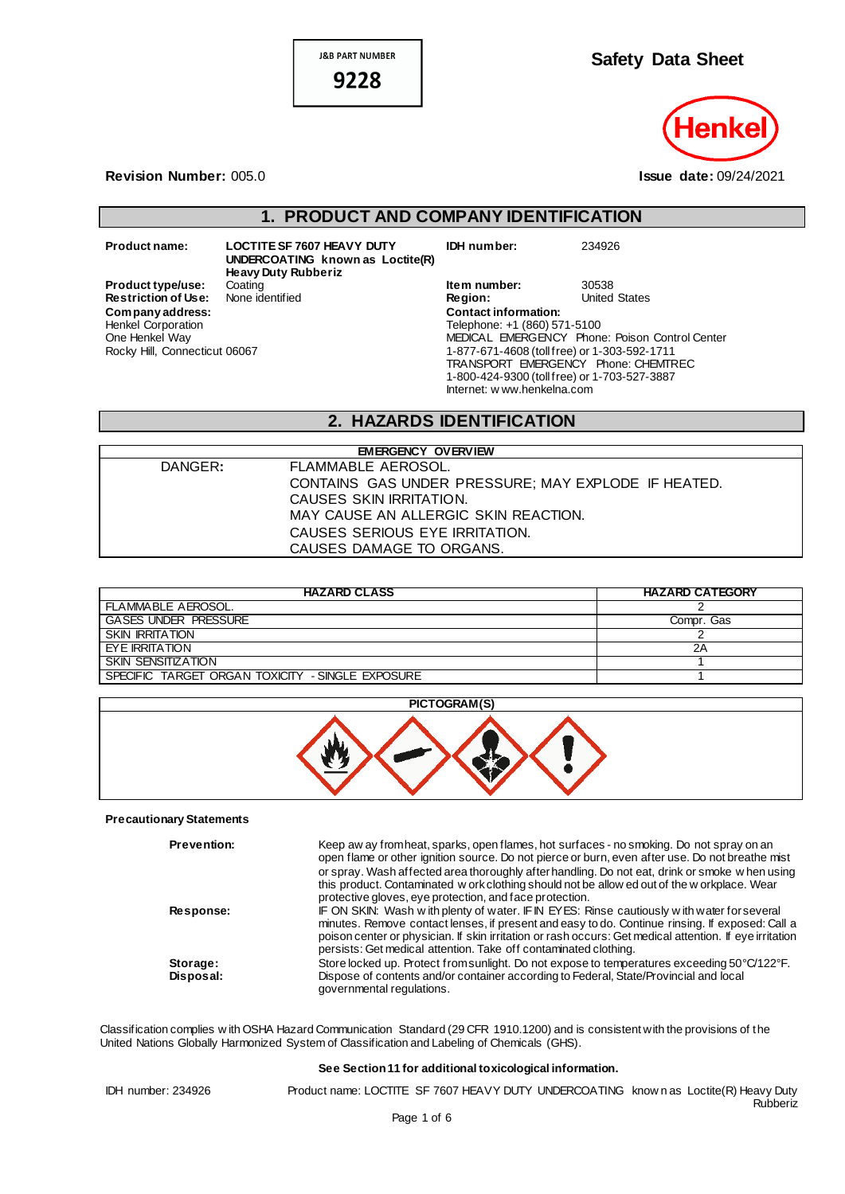**J&B PART NUMBER** 

9228



#### **Revision Number:** 005.0 **Issue date:** 09/24/2021

## **1. PRODUCT AND COMPANY IDENTIFICATION**

**Restriction of Use:**  $Company address:$ Henkel Corporation One Henkel Way

**Product name: LOCTITE SF 7607 HEAVY DUTY UNDERCOATING known as Loctite(R) Heavy Duty Rubberiz Product type/use:** Coating<br>**Restriction of Use:** None identified Rocky Hill, Connecticut 06067

| IDH number:                                  | 234926                                         |
|----------------------------------------------|------------------------------------------------|
| Item number:                                 | 30538                                          |
| Region:                                      | <b>United States</b>                           |
| <b>Contact information:</b>                  |                                                |
| Telephone: +1 (860) 571-5100                 |                                                |
|                                              | MEDICAL EMERGENCY Phone: Poison Control Center |
| 1-877-671-4608 (toll free) or 1-303-592-1711 |                                                |
| TRANSPORT EMERGENCY Phone: CHEMTREC          |                                                |
| 1-800-424-9300 (toll free) or 1-703-527-3887 |                                                |
| Internet: w ww.henkelna.com                  |                                                |

## **2. HAZARDS IDENTIFICATION**

| <b>EMERGENCY OVERVIEW</b> |                                                     |  |
|---------------------------|-----------------------------------------------------|--|
| DANGER:                   | FLAMMABLE AEROSOL.                                  |  |
|                           | CONTAINS GAS UNDER PRESSURE: MAY EXPLODE IF HEATED. |  |
|                           | CAUSES SKIN IRRITATION.                             |  |
|                           | MAY CAUSE AN ALLERGIC SKIN REACTION.                |  |
|                           | CAUSES SERIOUS EYE IRRITATION.                      |  |
|                           | CAUSES DAMAGE TO ORGANS.                            |  |

| <b>HAZARD CLASS</b>                              | <b>HAZARD CATEGORY</b> |
|--------------------------------------------------|------------------------|
| FLAMMABLE AEROSOL.                               |                        |
| <b>GASES UNDER PRESSURE</b>                      | Compr. Gas             |
| <b>SKIN IRRITATION</b>                           |                        |
| EYE IRRITATION                                   | 2Α                     |
| SKIN SENSITIZATION                               |                        |
| SPECIFIC TARGET ORGAN TOXICITY - SINGLE EXPOSURE |                        |



#### **Precautionary Statements**

| <b>Prevention:</b>    | Keep aw ay from heat, sparks, open flames, hot surfaces - no smoking. Do not spray on an<br>open flame or other ignition source. Do not pierce or burn, even after use. Do not breathe mist<br>or spray. Wash affected area thoroughly after handling. Do not eat, drink or smoke w hen using<br>this product. Contaminated w ork clothing should not be allow ed out of the w orkplace. Wear<br>protective gloves, eye protection, and face protection. |
|-----------------------|----------------------------------------------------------------------------------------------------------------------------------------------------------------------------------------------------------------------------------------------------------------------------------------------------------------------------------------------------------------------------------------------------------------------------------------------------------|
| <b>Response:</b>      | IF ON SKIN: Wash with plenty of water. IF IN EYES: Rinse cautiously with water for several<br>minutes. Remove contact lenses, if present and easy to do. Continue rinsing. If exposed: Call a<br>poison center or physician. If skin irritation or rash occurs: Get medical attention. If eye irritation<br>persists: Get medical attention. Take off contaminated clothing.                                                                             |
| Storage:<br>Disposal: | Store locked up. Protect from sunlight. Do not expose to temperatures exceeding 50°C/122°F.<br>Dispose of contents and/or container according to Federal, State/Provincial and local<br>governmental regulations.                                                                                                                                                                                                                                        |

Classification complies w ith OSHA Hazard Communication Standard (29 CFR 1910.1200) and is consistent with the provisions of the United Nations Globally Harmonized System of Classification and Labeling of Chemicals (GHS).

#### **See Section 11 for additional toxicological information.**

IDH number: 234926 Product name: LOCTITE SF 7607 HEAVY DUTY UNDERCOATING know n as Loctite(R) Heavy Duty Rubberiz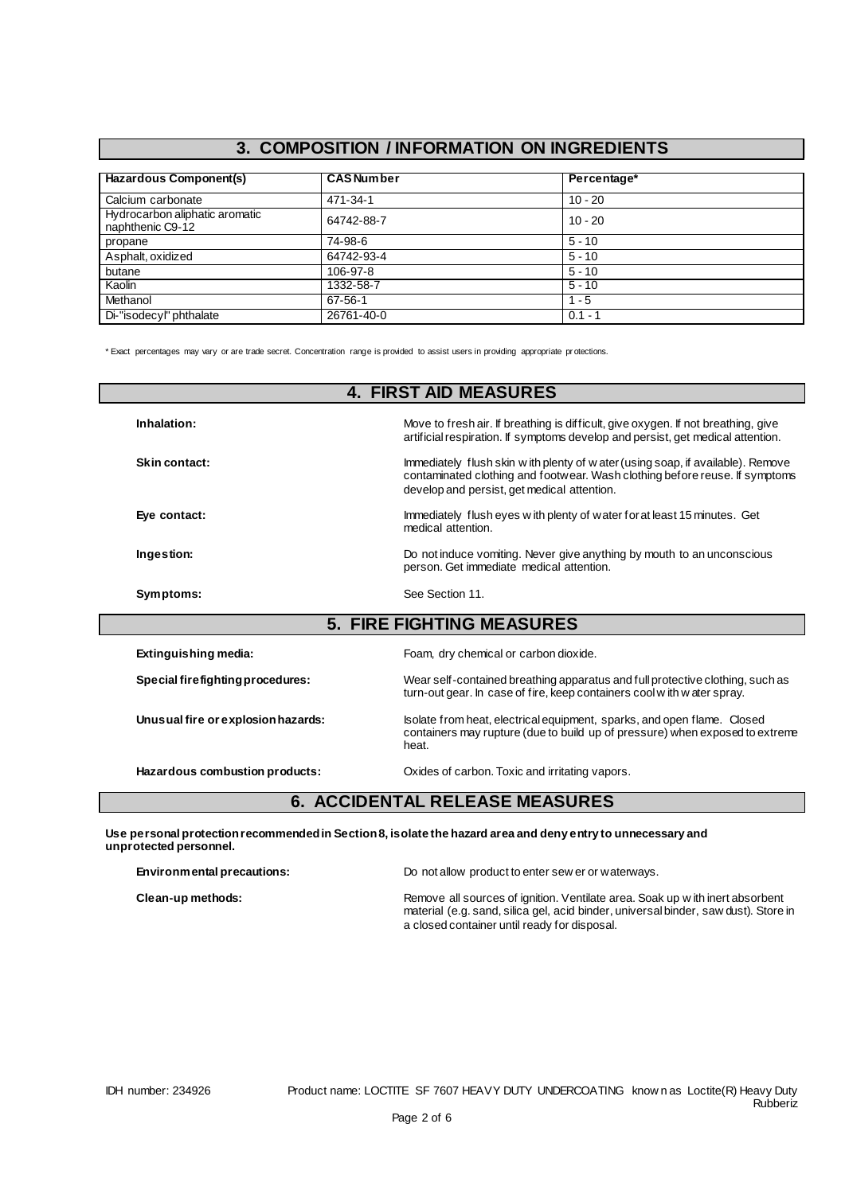# **3. COMPOSITION / INFORMATION ON INGREDIENTS**

| Hazardous Component(s)                             | <b>CAS Number</b> | Percentage* |  |
|----------------------------------------------------|-------------------|-------------|--|
| Calcium carbonate                                  | 471-34-1          | $10 - 20$   |  |
| Hydrocarbon aliphatic aromatic<br>naphthenic C9-12 | 64742-88-7        | $10 - 20$   |  |
| propane                                            | 74-98-6           | $5 - 10$    |  |
| Asphalt, oxidized                                  | 64742-93-4        | $5 - 10$    |  |
| butane                                             | 106-97-8          | $5 - 10$    |  |
| Kaolin                                             | 1332-58-7         | $5 - 10$    |  |
| Methanol                                           | $67 - 56 - 1$     | $1 - 5$     |  |
| Di-"isodecyl" phthalate                            | 26761-40-0        | $0.1 - 1$   |  |

\* Exact percentages may vary or are trade secret. Concentration range is provided to assist users in providing appropriate pr otections.

|                                    | <b>4. FIRST AID MEASURES</b>                                                                                                                                                                                   |
|------------------------------------|----------------------------------------------------------------------------------------------------------------------------------------------------------------------------------------------------------------|
| Inhalation:                        | Move to fresh air. If breathing is difficult, give oxygen. If not breathing, give<br>artificial respiration. If symptoms develop and persist, get medical attention.                                           |
| Skin contact:                      | Immediately flush skin w ith plenty of w ater (using soap, if available). Remove<br>contaminated clothing and footwear. Wash clothing before reuse. If symptoms<br>develop and persist, get medical attention. |
| Eye contact:                       | Immediately flush eyes with plenty of water for at least 15 minutes. Get<br>medical attention.                                                                                                                 |
| Ingestion:                         | Do not induce vomiting. Never give anything by mouth to an unconscious<br>person. Get immediate medical attention.                                                                                             |
| Symptoms:                          | See Section 11.                                                                                                                                                                                                |
|                                    | <b>5. FIRE FIGHTING MEASURES</b>                                                                                                                                                                               |
| Extinguishing media:               | Foam, dry chemical or carbon dioxide.                                                                                                                                                                          |
| Special firefighting procedures:   | Wear self-contained breathing apparatus and full protective clothing, such as<br>turn-out gear. In case of fire, keep containers cool with water spray.                                                        |
| Unusual fire or explosion hazards: | Isolate from heat, electrical equipment, sparks, and open flame. Closed<br>containers may rupture (due to build up of pressure) when exposed to extreme<br>heat.                                               |
| Hazardous combustion products:     | Oxides of carbon. Toxic and irritating vapors.                                                                                                                                                                 |
|                                    | <b>6. ACCIDENTAL RELEASE MEASURES</b>                                                                                                                                                                          |

| Environmental precautions: | Do not allow product to enter sew er or waterways.                                                                                                                                                                  |
|----------------------------|---------------------------------------------------------------------------------------------------------------------------------------------------------------------------------------------------------------------|
| Clean-up methods:          | Remove all sources of ignition. Ventilate area. Soak up with inert absorbent<br>material (e.g. sand, silica gel, acid binder, universal binder, saw dust). Store in<br>a closed container until ready for disposal. |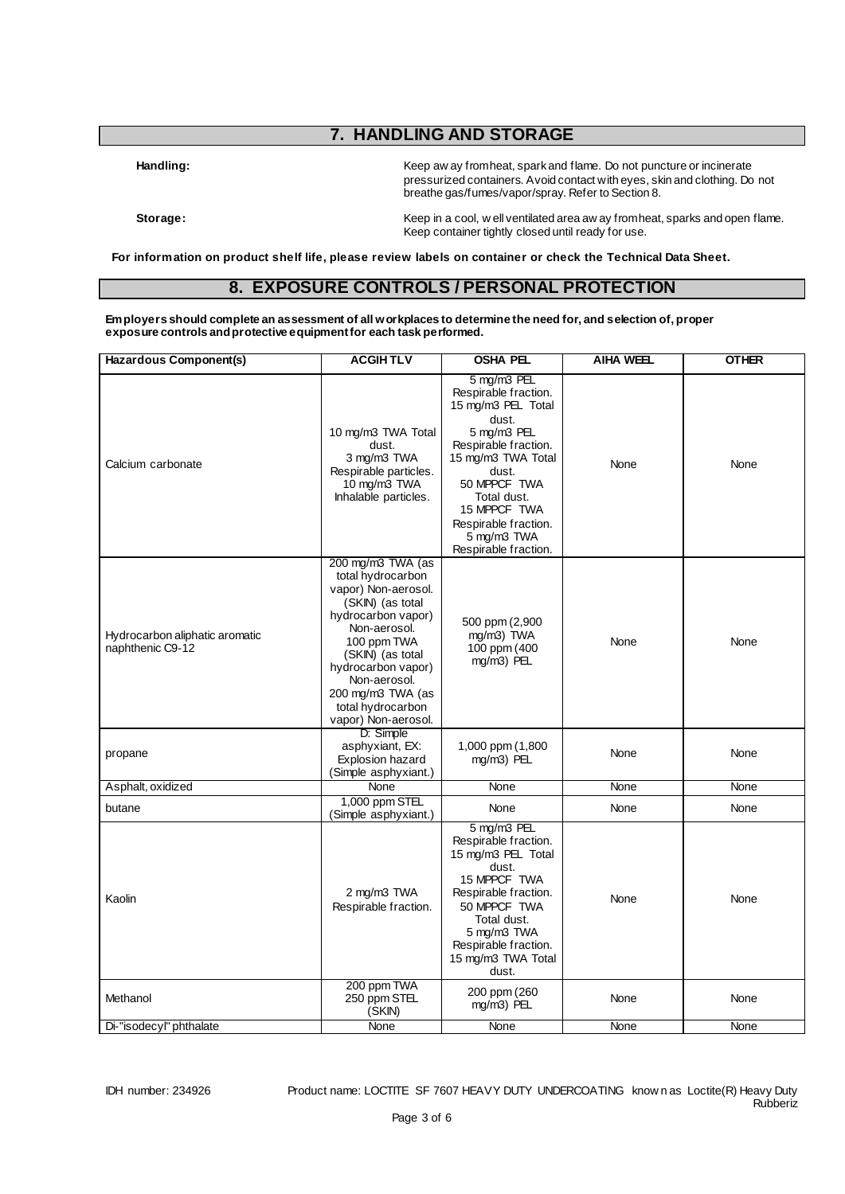# **7. HANDLING AND STORAGE**

Handling: **Handling:** Keep aw ay from heat, spark and flame. Do not puncture or incinerate pressurized containers. Avoid contact with eyes, skin and clothing. Do not breathe gas/fumes/vapor/spray. Refer to Section 8.

Storage: **Storage: Keep in a cool, well ventilated area aw ay from heat, sparks and open flame.** Keep container tightly closed until ready for use.

**For information on product shelf life, please review labels on container or check the Technical Data Sheet.**

#### **8. EXPOSURE CONTROLS / PERSONAL PROTECTION**

**Employers should complete an assessment of all workplaces to determine the need for, and selection of, proper exposure controls and protective equipment for each task performed.**

| Hazardous Component(s)                             | <b>ACGIHTLV</b>                                                                                                                                                                                                                                                   | OSHA PEL                                                                                                                                                                                                                                               | <b>AIHA WEEL</b> | <b>OTHER</b> |
|----------------------------------------------------|-------------------------------------------------------------------------------------------------------------------------------------------------------------------------------------------------------------------------------------------------------------------|--------------------------------------------------------------------------------------------------------------------------------------------------------------------------------------------------------------------------------------------------------|------------------|--------------|
| Calcium carbonate                                  | 10 mg/m3 TWA Total<br>dust.<br>3 mg/m3 TWA<br>Respirable particles.<br>10 mg/m3 TWA<br>Inhalable particles.                                                                                                                                                       | 5 mg/m3 PEL<br>Respirable fraction.<br>15 mg/m3 PEL Total<br>dust.<br>5 mg/m3 PEL<br>Respirable fraction.<br>15 mg/m3 TWA Total<br>dust.<br>50 MPPCF TWA<br>Total dust.<br>15 MPPCF TWA<br>Respirable fraction.<br>5 mg/m3 TWA<br>Respirable fraction. | None             | None         |
| Hydrocarbon aliphatic aromatic<br>naphthenic C9-12 | 200 mg/m3 TWA (as<br>total hydrocarbon<br>vapor) Non-aerosol.<br>(SKIN) (as total<br>hydrocarbon vapor)<br>Non-aerosol.<br>100 ppm TWA<br>(SKIN) (as total<br>hydrocarbon vapor)<br>Non-aerosol.<br>200 mg/m3 TWA (as<br>total hydrocarbon<br>vapor) Non-aerosol. | 500 ppm (2,900<br>mg/m3) TWA<br>100 ppm (400<br>mg/m3) PEL                                                                                                                                                                                             | None             | None         |
| propane                                            | D: Simple<br>asphyxiant, EX:<br>Explosion hazard<br>(Simple asphyxiant.)                                                                                                                                                                                          | 1,000 ppm (1,800<br>mg/m3) PEL                                                                                                                                                                                                                         | None             | None         |
| Asphalt, oxidized                                  | None                                                                                                                                                                                                                                                              | None                                                                                                                                                                                                                                                   | None             | None         |
| butane                                             | 1,000 ppm STEL<br>(Simple asphyxiant.)                                                                                                                                                                                                                            | None                                                                                                                                                                                                                                                   | None             | None         |
| Kaolin                                             | 2 mg/m3 TWA<br>Respirable fraction.                                                                                                                                                                                                                               | 5 mg/m3 PEL<br>Respirable fraction.<br>15 mg/m3 PEL Total<br>dust.<br>15 MPPCF TWA<br>Respirable fraction.<br>50 MPPCF TWA<br>Total dust.<br>5 mg/m3 TWA<br>Respirable fraction.<br>15 mg/m3 TWA Total<br>dust.                                        | None             | None         |
| Methanol                                           | 200 ppm TWA<br>250 ppm STEL<br>(SKIN)                                                                                                                                                                                                                             | 200 ppm (260)<br>mg/m3) PEL                                                                                                                                                                                                                            | None             | None         |
| Di-"isodecyl" phthalate                            | None                                                                                                                                                                                                                                                              | <b>None</b>                                                                                                                                                                                                                                            | None             | None         |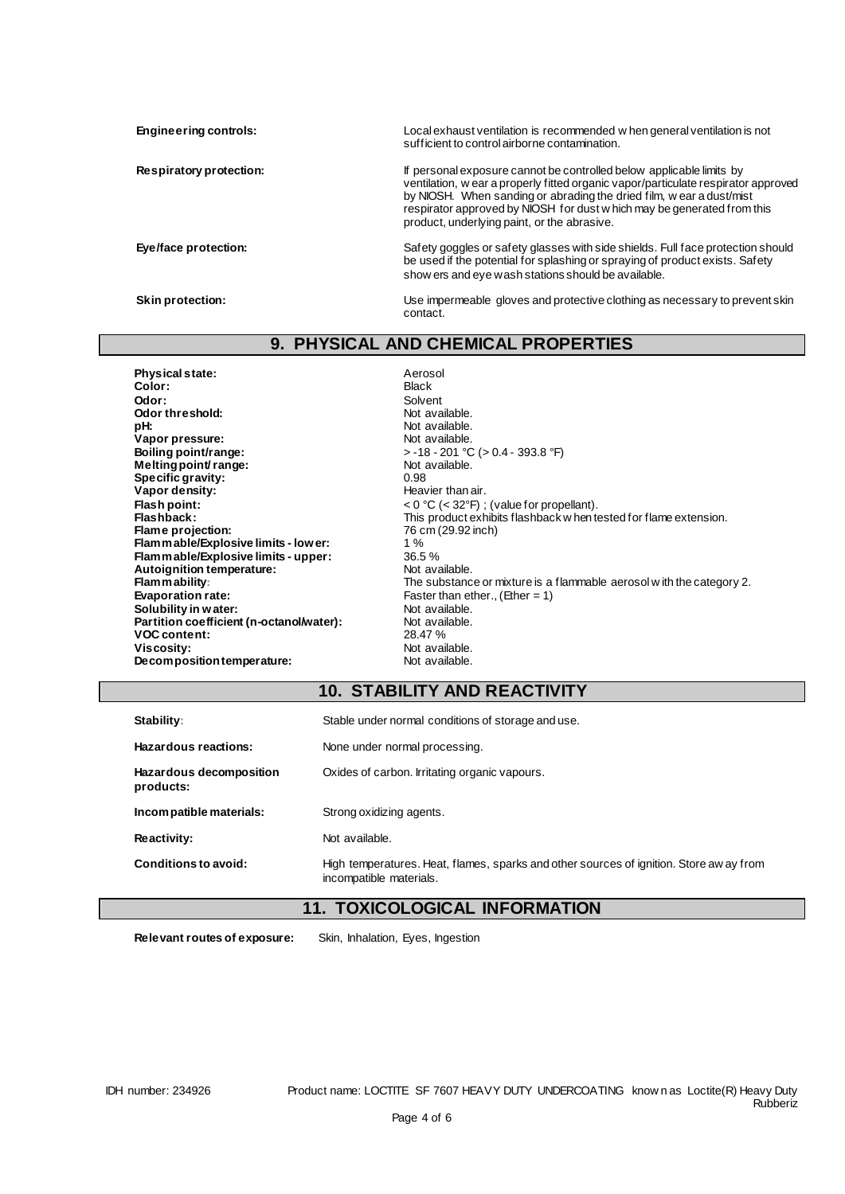**Engineering controls:** Local exhaust ventilation is recommended w hen general ventilation is not sufficient to control airborne contamination. **Respiratory protection:** If personal exposure cannot be controlled below applicable limits by ventilation, w ear a properly fitted organic vapor/particulate respirator approved by NIOSH. When sanding or abrading the dried film, w ear a dust/mist respirator approved by NIOSH for dust w hich may be generated from this product, underlying paint, or the abrasive. Eye/face protection: Safety goggles or safety glasses with side shields. Full face protection should be used if the potential for splashing or spraying of product exists. Safety show ers and eye wash stations should be available. **Skin protection:** Use impermeable gloves and protective clothing as necessary to prevent skin

## **9. PHYSICAL AND CHEMICAL PROPERTIES**

contact.

**Physical state:** Aerosol<br> **Color:** Aerosol<br>
Black **Color:** Black **Odor:** Solvent **Odor threshold:** Not available.<br> **pH:** Not available.<br>
Not available. **Vapor pressure:<br>Boiling point/range: Melting point/ range:** Not and Not a Not a Not a Not a Not a Not a Not a Not a Not a Not a Not a Not a Not a Not a Not a Not a Not a Not a Not a Not a Not a Not a Not a Not a Not a Not a Not a Not a Not a Not a Not a Not **Specific gravity:**<br>Vapor density: **Vapor density:**<br>
Flash point:<br>
Flash point:<br>  $\langle 0 \degree C \langle 0 \degree C \rangle$ **Flame projection:** 76 c<br>**Flammable/Explosive limits - lower:** 2002 1 % **Flammable/Explosive limits - lower:** 1 % **Flammable/Explosive limits - upper:** 36.5 % Autoignition temperature:<br>Flam mability: **Solubility in water: Not available.**<br> **Partition coefficient (n-octanol/water):** Not available. **Partition coefficient (n-octanol/water):** Not available.<br>VOC content: 28.47% **VOC content:**<br>Viscosity: **Decomposition temperature:** 

Not available.<br>Not available. **boiling point 9.4 - 201 °C (** $> 0.4$  **- 393.8 °F)**<br>Not available. **Flash point:**  $\leq 0 \degree C$  (< 32°F) ; (value for propellant).<br> **Flashback:** This product exhibits flashback when to This product exhibits flashback w hen tested for flame extension.<br>76 cm (29.92 inch) **Flam mability:**<br> **Flammability:** The substance or mixture is a flammable aerosol w ith the category 2.<br>
Faster than ether., (Ether = 1) Faster than ether., (Ether = 1)<br>Not available. Not available.<br>Not available.

## **10. STABILITY AND REACTIVITY**

| Stability:                           | Stable under normal conditions of storage and use.                                                                 |
|--------------------------------------|--------------------------------------------------------------------------------------------------------------------|
| Hazardous reactions:                 | None under normal processing.                                                                                      |
| Hazardous decomposition<br>products: | Oxides of carbon. Irritating organic vapours.                                                                      |
| Incompatible materials:              | Strong oxidizing agents.                                                                                           |
| Reactivity:                          | Not available.                                                                                                     |
| Conditions to avoid:                 | High temperatures. Heat, flames, sparks and other sources of ignition. Store aw ay from<br>incompatible materials. |

## **11. TOXICOLOGICAL INFORMATION**

**Relevant routes of exposure:** Skin, Inhalation, Eyes, Ingestion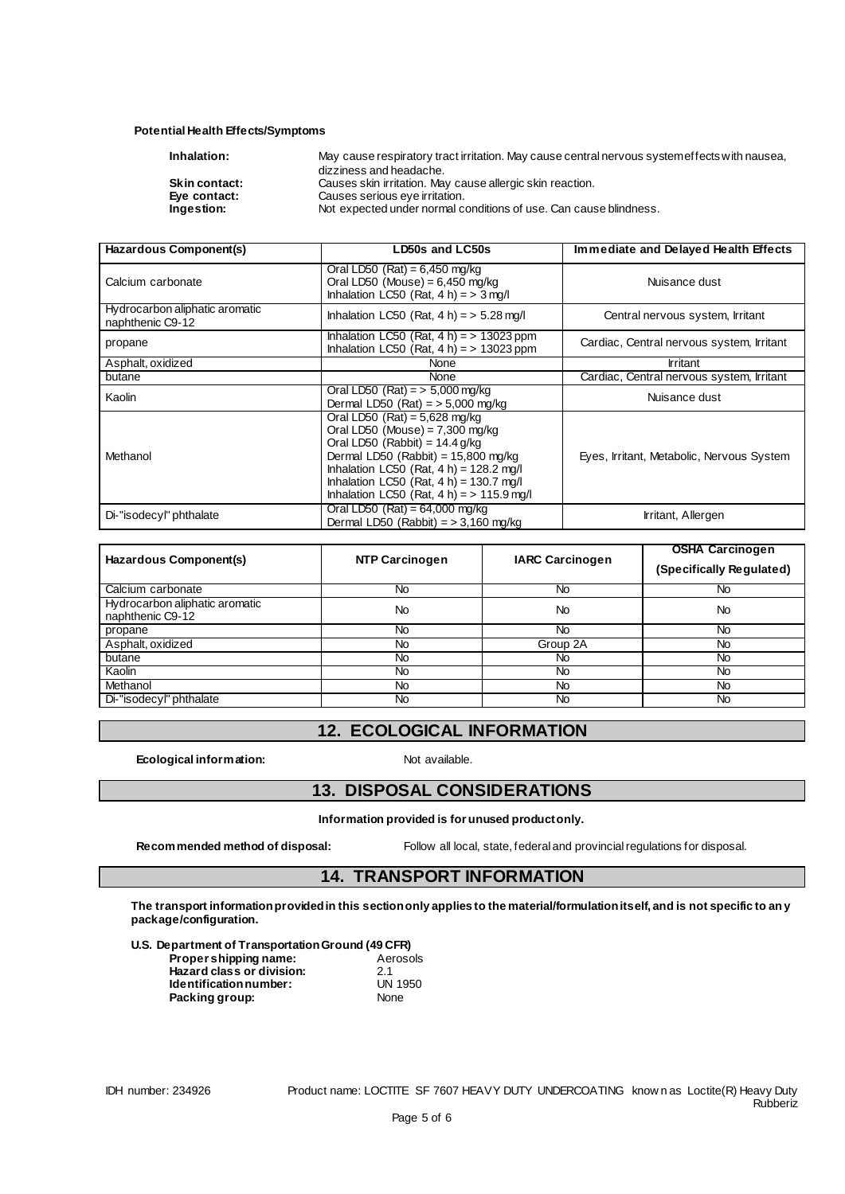#### **Potential Health Effects/Symptoms**

| Inhalation:          | May cause respiratory tract irritation. May cause central nervous systemeffects with nausea, |
|----------------------|----------------------------------------------------------------------------------------------|
|                      | dizziness and headache.                                                                      |
| <b>Skin contact:</b> | Causes skin irritation. May cause allergic skin reaction.                                    |
| Eye contact:         | Causes serious eye irritation.                                                               |
| Ingestion:           | Not expected under normal conditions of use. Can cause blindness.                            |
|                      |                                                                                              |

| Hazardous Component(s)                             | LD50s and LC50s                                                                                                                                                                                                                                                                               | Immediate and Delayed Health Effects      |
|----------------------------------------------------|-----------------------------------------------------------------------------------------------------------------------------------------------------------------------------------------------------------------------------------------------------------------------------------------------|-------------------------------------------|
| Calcium carbonate                                  | Oral LD50 (Rat) = $6,450$ mg/kg<br>Oral LD50 (Mouse) = $6,450$ mg/kg<br>Inhalation LC50 (Rat, $4 h$ ) = $> 3$ mg/l                                                                                                                                                                            | Nuisance dust                             |
| Hydrocarbon aliphatic aromatic<br>naphthenic C9-12 | Inhalation LC50 (Rat, $4 h$ ) = $> 5.28$ mg/l                                                                                                                                                                                                                                                 | Central nervous system, Irritant          |
| propane                                            | Inhalation LC50 (Rat, $4 h$ ) = > 13023 ppm<br>Inhalation LC50 (Rat, $4 h$ ) = > 13023 ppm                                                                                                                                                                                                    | Cardiac, Central nervous system, Irritant |
| Asphalt, oxidized                                  | None                                                                                                                                                                                                                                                                                          | Irritant                                  |
| butane                                             | None                                                                                                                                                                                                                                                                                          | Cardiac, Central nervous system, Irritant |
| Kaolin                                             | Oral LD50 (Rat) = $> 5,000$ mg/kg<br>Dermal LD50 $(Rat) = 5,000$ mg/kg                                                                                                                                                                                                                        | Nuisance dust                             |
| Methanol                                           | Oral LD50 (Rat) = $5,628$ mg/kg<br>Oral LD50 (Mouse) = $7,300$ mg/kg<br>Oral LD50 (Rabbit) = $14.4$ g/kg<br>Dermal LD50 (Rabbit) = $15,800$ mg/kg<br>Inhalation LC50 (Rat, $4 h$ ) = 128.2 mg/l<br>Inhalation LC50 (Rat, $4 h$ ) = 130.7 mg/l<br>Inhalation LC50 (Rat, $4 h$ ) = > 115.9 mg/l | Eyes, Irritant, Metabolic, Nervous System |
| Di-"isodecyl" phthalate                            | Oral LD50 $(Rat) = 64,000$ mg/kg<br>Dermal LD50 (Rabbit) $=$ > 3,160 mg/kg                                                                                                                                                                                                                    | Irritant, Allergen                        |

| Hazardous Component(s)                             | <b>NTP Carcinogen</b> | <b>IARC Carcinogen</b> | <b>OSHA Carcinogen</b><br>(Specifically Regulated) |
|----------------------------------------------------|-----------------------|------------------------|----------------------------------------------------|
| Calcium carbonate                                  | No                    | No                     | No                                                 |
| Hydrocarbon aliphatic aromatic<br>naphthenic C9-12 | No                    | No                     | No                                                 |
| propane                                            | No.                   | <b>No</b>              | No                                                 |
| Asphalt, oxidized                                  | No                    | Group 2A               | No                                                 |
| butane                                             | No                    | No.                    | <b>No</b>                                          |
| Kaolin                                             | No                    | No                     | <b>No</b>                                          |
| Methanol                                           | No                    | No                     | No                                                 |
| Di-"isodecyl" phthalate                            | No                    | No.                    | <b>No</b>                                          |

#### **12. ECOLOGICAL INFORMATION**

**Ecological information:** Not available.

#### **13. DISPOSAL CONSIDERATIONS**

**Information provided is for unused product only.**

**Recommended method of disposal:** Follow all local, state, federal and provincial regulations for disposal.

## **14. TRANSPORT INFORMATION**

**The transport information provided in this section only applies to the material/formulation itself, and is not specific to any package/configuration.**

**U.S. Department of Transportation Ground (49 CFR)**

| Propershipping name:      | Aerosols       |
|---------------------------|----------------|
| Hazard class or division: | 21             |
| Identification number:    | <b>UN 1950</b> |
| Packing group:            | None           |